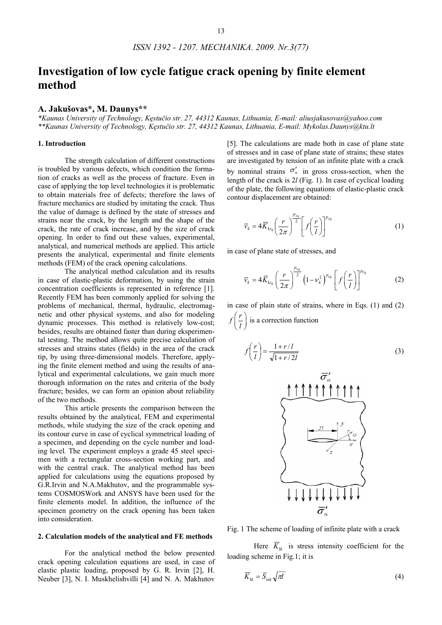# **Investigation of low cycle fatigue crack opening by finite element method**

## **A. Jakušovas\*, M. Daunys\*\***

*\*Kaunas University of Technology, Kęstučio str. 27, 44312 Kaunas, Lithuania, E-mail: aliusjakusovas@yahoo.com \*\*Kaunas University of Technology, Kęstučio str. 27, 44312 Kaunas, Lithuania, E-mail: Mykolas.Daunys@ktu.lt* 

## **1. Introduction**

The strength calculation of different constructions is troubled by various defects, which condition the formation of cracks as well as the process of fracture. Even in case of applying the top level technologies it is problematic to obtain materials free of defects; therefore the laws of fracture mechanics are studied by imitating the crack. Thus the value of damage is defined by the state of stresses and strains near the crack, by the length and the shape of the crack, the rate of crack increase, and by the size of crack opening. In order to find out these values, experimental, analytical, and numerical methods are applied. This article presents the analytical, experimental and finite elements methods (FEM) of the crack opening calculations.

The analytical method calculation and its results in case of elastic-plastic deformation, by using the strain concentration coefficients is represented in reference [1]. Recently FEM has been commonly applied for solving the problems of mechanical, thermal, hydraulic, electromagnetic and other physical systems, and also for modeling dynamic processes. This method is relatively low-cost; besides, results are obtained faster than during eksperimental testing. The method allows quite precise calculation of stresses and strains states (fields) in the area of the crack tip, by using three-dimensional models. Therefore, applying the finite element method and using the results of analytical and experimental calculations, we gain much more thorough information on the rates and criteria of the body fracture; besides, we can form an opinion about reliability of the two methods.

This article presents the comparison between the results obtained by the analytical, FEM and experimental methods, while studying the size of the crack opening and its contour curve in case of cyclical symmetrical loading of a specimen, and depending on the cycle number and loading level. The experiment employs a grade 45 steel specimen with a rectangular cross-section working part, and with the central crack. The analytical method has been applied for calculations using the equations proposed by G.R.Irvin and N.A.Makhutov, and the programmable systems COSMOSWork and ANSYS have been used for the finite elements model. In addition, the influence of the specimen geometry on the crack opening has been taken into consideration.

#### **2. Calculation models of the analytical and FE methods**

For the analytical method the below presented crack opening calculation equations are used, in case of elastic plastic loading, proposed by G. R. Irvin [2], H. Neuber [3], N. I. Muskhelishvilli [4] and N. A. Makhutov

[5]. The calculations are made both in case of plane state of stresses and in case of plane state of strains; these states are investigated by tension of an infinite plate with a crack by nominal strains  $\sigma'_n$  in gross cross-section, when the length of the crack is 2*l* (Fig. 1). In case of cyclical loading of the plate, the following equations of elastic-plastic crack contour displacement are obtained:

$$
\overline{v}_k = 4\overline{K}_{1\varepsilon_k} \left(\frac{r}{2\pi}\right)^{\frac{p_{\varepsilon_k}}{2}} \left[f\left(\frac{r}{l}\right)\right]^{p_{\varepsilon_k}} \tag{1}
$$

in case of plane state of stresses, and

$$
\overline{\nu}_k = 4\overline{K}_{1\varepsilon_k} \left(\frac{r}{2\pi}\right)^{\frac{p_{\varepsilon_k}}{2}} \left(1 - \nu_k^2\right)^{p_{\varepsilon_k}} \left[f\left(\frac{r}{l}\right)\right]^{p_{\varepsilon_k}} \tag{2}
$$

in case of plain state of strains, where in Eqs. (1) and (2)  $f\left(\frac{r}{l}\right)$ is a correction function

$$
f\left(\frac{r}{l}\right) = \frac{1+r/l}{\sqrt{1+r/2l}}\tag{3}
$$



Fig. 1 The scheme of loading of infinite plate with a crack

Here  $\overline{K}_{1k}$  is stress intensity coefficient for the loading scheme in Fig.1; it is

$$
\overline{K}_{1k} = \overline{S}_{ink} \sqrt{\pi l} \tag{4}
$$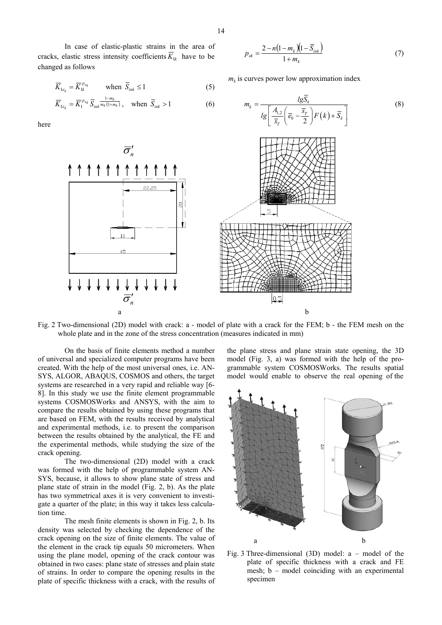In case of elastic-plastic strains in the area of cracks, elastic stress intensity coefficients  $\overline{K}_{1k}$  have to be changed as follows

$$
\overline{K}_{1\varepsilon_k} = \overline{K}_{1k}^{p_{\varepsilon_k}} \qquad \text{when } \overline{S}_{ink} \le 1 \tag{5}
$$

$$
\overline{K}_{1\varepsilon_k} = \overline{K}_1^{p_{\varepsilon_k}} \overline{S}_{ink} \frac{1 - m_k}{m_k(1 + m_k)}, \quad \text{when } \overline{S}_{ink} > 1 \tag{6}
$$

here



Fig. 2 Two-dimensional (2D) model with crack: a - model of plate with a crack for the FEM; b - the FEM mesh on the whole plate and in the zone of the stress concentration (measures indicated in mm)

On the basis of finite elements method a number of universal and specialized computer programs have been created. With the help of the most universal ones, i.e. AN-SYS, ALGOR, ABAQUS, COSMOS and others, the target systems are researched in a very rapid and reliable way [6- 8]. In this study we use the finite element programmable systems COSMOSWorks and ANSYS, with the aim to compare the results obtained by using these programs that are based on FEM, with the results received by analytical and experimental methods, i.e. to present the comparison between the results obtained by the analytical, the FE and the experimental methods, while studying the size of the crack opening.

The two-dimensional (2D) model with a crack was formed with the help of programmable system AN-SYS, because, it allows to show plane state of stress and plane state of strain in the model (Fig. 2, b). As the plate has two symmetrical axes it is very convenient to investigate a quarter of the plate; in this way it takes less calculation time.

The mesh finite elements is shown in Fig. 2, b. Its density was selected by checking the dependence of the crack opening on the size of finite elements. The value of the element in the crack tip equals 50 micrometers. When using the plane model, opening of the crack contour was obtained in two cases: plane state of stresses and plain state of strains. In order to compare the opening results in the plate of specific thickness with a crack, with the results of

the plane stress and plane strain state opening, the 3D model (Fig. 3, a) was formed with the help of the programmable system COSMOSWorks. The results spatial model would enable to observe the real opening of the



Fig. 3 Three-dimensional (3D) model:  $a$  – model of the plate of specific thickness with a crack and FE mesh; b – model coinciding with an experimental specimen

$$
p_{ck} = \frac{2 - n(1 - m_k)(1 - \overline{S}_{ink})}{1 + m_k} \tag{7}
$$

(8)

 $m_k$  is curves power low approximation index

 $\mu_k = \frac{ig \mu_k}{\sqrt{1 - \frac{1}{2}ig \mu_k}}$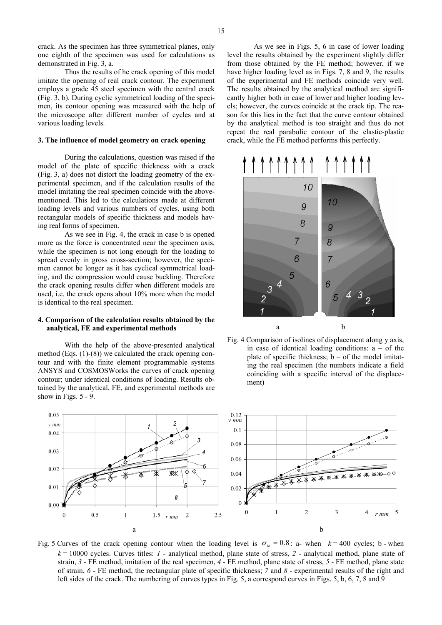crack. As the specimen has three symmetrical planes, only one eighth of the specimen was used for calculations as demonstrated in Fig. 3, a.

 Thus the results of he crack opening of this model imitate the opening of real crack contour. The experiment employs a grade 45 steel specimen with the central crack (Fig. 3, b). During cyclic symmetrical loading of the specimen, its contour opening was measured with the help of the microscope after different number of cycles and at various loading levels.

#### **3. The influence of model geometry on crack opening**

 During the calculations, question was raised if the model of the plate of specific thickness with a crack (Fig. 3, a) does not distort the loading geometry of the experimental specimen, and if the calculation results of the model imitating the real specimen coincide with the abovementioned. This led to the calculations made at different loading levels and various numbers of cycles, using both rectangular models of specific thickness and models having real forms of specimen.

 As we see in Fig. 4, the crack in case b is opened more as the force is concentrated near the specimen axis, while the specimen is not long enough for the loading to spread evenly in gross cross-section; however, the specimen cannot be longer as it has cyclical symmetrical loading, and the compression would cause buckling. Therefore the crack opening results differ when different models are used, i.e. the crack opens about 10% more when the model is identical to the real specimen.

## **4. Comparison of the calculation results obtained by the analytical, FE and experimental methods**

 With the help of the above-presented analytical method (Eqs. (1)-(8)) we calculated the crack opening contour and with the finite element programmable systems ANSYS and COSMOSWorks the curves of crack opening contour; under identical conditions of loading. Results obtained by the analytical, FE, and experimental methods are show in Figs. 5 - 9.

 As we see in Figs. 5, 6 in case of lower loading level the results obtained by the experiment slightly differ from those obtained by the FE method; however, if we have higher loading level as in Figs. 7, 8 and 9, the results of the experimental and FE methods coincide very well. The results obtained by the analytical method are significantly higher both in case of lower and higher loading levels; however, the curves coincide at the crack tip. The reason for this lies in the fact that the curve contour obtained by the analytical method is too straight and thus do not repeat the real parabolic contour of the elastic-plastic crack, while the FE method performs this perfectly.







Fig. 5 Curves of the crack opening contour when the loading level is  $\overline{\sigma}_{in} = 0.8$ : a- when  $k = 400$  cycles; b - when *k* = 10000 cycles. Curves titles: *1* - analytical method, plane state of stress, *2* - analytical method, plane state of strain, *3* - FE method, imitation of the real specimen, *4* - FE method, plane state of stress, *5* - FE method, plane state of strain, *6* - FE method, the rectangular plate of specific thickness; *7* and *8* - experimental results of the right and left sides of the crack. The numbering of curves types in Fig. 5, a correspond curves in Figs. 5, b, 6, 7, 8 and 9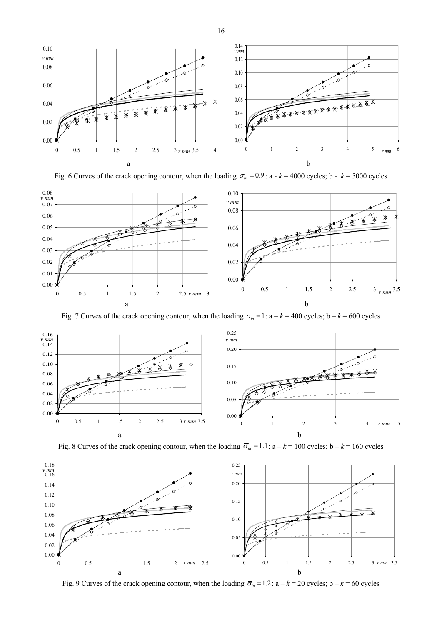

Fig. 6 Curves of the crack opening contour, when the loading  $\overline{\sigma}_{in} = 0.9$ : a -  $k = 4000$  cycles; b -  $k = 5000$  cycles



Fig. 7 Curves of the crack opening contour, when the loading  $\overline{\sigma}_{in} = 1$ :  $a - k = 400$  cycles;  $b - k = 600$  cycles



Fig. 8 Curves of the crack opening contour, when the loading  $\overline{\sigma}_{in} = 1.1$ :  $a - k = 100$  cycles;  $b - k = 160$  cycles



Fig. 9 Curves of the crack opening contour, when the loading  $\overline{\sigma}_{in} = 1.2$ :  $a - k = 20$  cycles;  $b - k = 60$  cycles

16